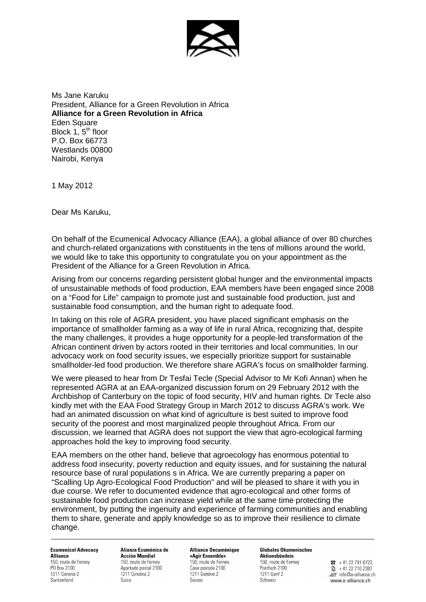

Ms Jane Karuku President, Alliance for a Green Revolution in Africa **Alliance for a Green Revolution in Africa Eden Square** Block  $1, 5<sup>th</sup>$  floor P.O. Box 66773 Westlands 00800 Nairobi, Kenya

1 May 2012

Dear Ms Karuku,

On behalf of the Ecumenical Advocacy Alliance (EAA), a global alliance of over 80 churches and church-related organizations with constituents in the tens of millions around the world, we would like to take this opportunity to congratulate you on your appointment as the President of the Alliance for a Green Revolution in Africa.

Arising from our concerns regarding persistent global hunger and the environmental impacts of unsustainable methods of food production, EAA members have been engaged since 2008 on a "Food for Life" campaign to promote just and sustainable food production, just and sustainable food consumption, and the human right to adequate food.

In taking on this role of AGRA president, you have placed significant emphasis on the importance of smallholder farming as a way of life in rural Africa, recognizing that, despite the many challenges, it provides a huge opportunity for a people-led transformation of the African continent driven by actors rooted in their territories and local communities. In our advocacy work on food security issues, we especially prioritize support for sustainable smallholder-led food production. We therefore share AGRA's focus on smallholder farming.

We were pleased to hear from Dr Tesfai Tecle (Special Advisor to Mr Kofi Annan) when he represented AGRA at an EAA-organized discussion forum on 29 February 2012 with the Archbishop of Canterbury on the topic of food security, HIV and human rights. Dr Tecle also kindly met with the EAA Food Strategy Group in March 2012 to discuss AGRA's work. We had an animated discussion on what kind of agriculture is best suited to improve food security of the poorest and most marginalized people throughout Africa. From our discussion, we learned that AGRA does not support the view that agro-ecological farming approaches hold the key to improving food security.

EAA members on the other hand, believe that agroecology has enormous potential to address food insecurity, poverty reduction and equity issues, and for sustaining the natural resource base of rural populations s in Africa. We are currently preparing a paper on "Scalling Up Agro-Ecological Food Production" and will be pleased to share it with you in due course. We refer to documented evidence that agro-ecological and other forms of sustainable food production can increase yield while at the same time protecting the environment, by putting the ingenuity and experience of farming communities and enabling them to share, generate and apply knowledge so as to improve their resilience to climate change.

**Ecumenical Advocacy Alliance** 150, route de Ferney PO Box 2100 1211 Geneva 2 Switzerland

Alianza Ecuménica de **Acción Mundial** 150, route de Ferney Apartado postal 2100 1211 Ginebra 2 Suiza

Alliance Oecuménique «Agir Ensemble» 150, route de Ferney Case postale 2100 1211 Genève 2 Suisse

**Globales Ökumenisches** Aktionsbündnis 150, route de Ferney Postfach 2100 1211 Genf 2 Schweiz

 $\overline{3}$  + 41 22 791 6723  $\frac{1}{2}$  + 41 22 710 2387 Finfo@e-alliance.ch www.e-alliance.ch